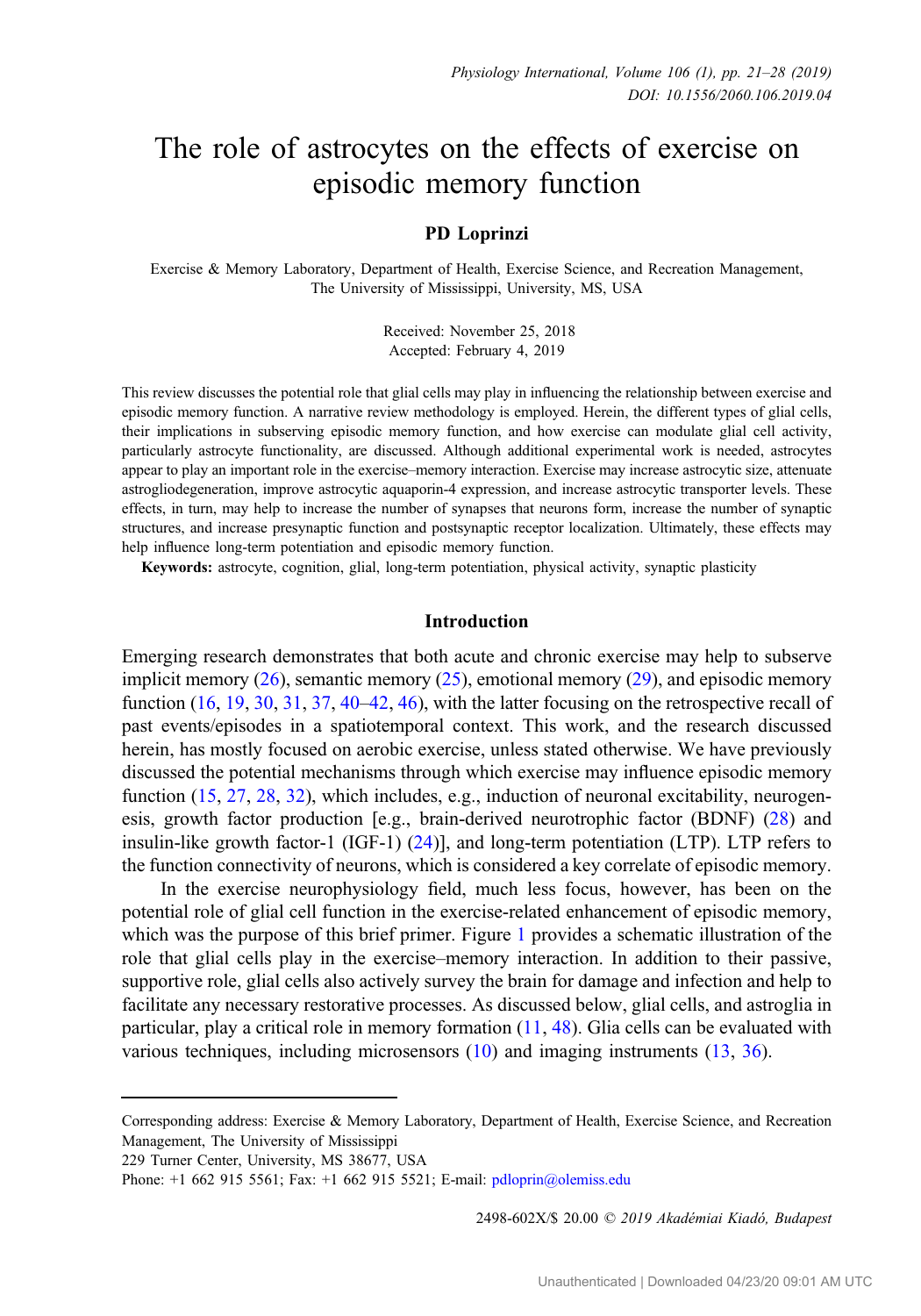# The role of astrocytes on the effects of exercise on episodic memory function

# PD Loprinzi

Exercise & Memory Laboratory, Department of Health, Exercise Science, and Recreation Management, The University of Mississippi, University, MS, USA

> Received: November 25, 2018 Accepted: February 4, 2019

This review discusses the potential role that glial cells may play in influencing the relationship between exercise and episodic memory function. A narrative review methodology is employed. Herein, the different types of glial cells, their implications in subserving episodic memory function, and how exercise can modulate glial cell activity, particularly astrocyte functionality, are discussed. Although additional experimental work is needed, astrocytes appear to play an important role in the exercise–memory interaction. Exercise may increase astrocytic size, attenuate astrogliodegeneration, improve astrocytic aquaporin-4 expression, and increase astrocytic transporter levels. These effects, in turn, may help to increase the number of synapses that neurons form, increase the number of synaptic structures, and increase presynaptic function and postsynaptic receptor localization. Ultimately, these effects may help influence long-term potentiation and episodic memory function.

Keywords: astrocyte, cognition, glial, long-term potentiation, physical activity, synaptic plasticity

## Introduction

Emerging research demonstrates that both acute and chronic exercise may help to subserve implicit memory  $(26)$ , semantic memory  $(25)$ , emotional memory  $(29)$  $(29)$ , and episodic memory function ([16,](#page-6-0) [19,](#page-6-0) [30](#page-6-0), [31](#page-6-0), [37](#page-7-0), [40](#page-7-0)–[42](#page-7-0), [46\)](#page-7-0), with the latter focusing on the retrospective recall of past events/episodes in a spatiotemporal context. This work, and the research discussed herein, has mostly focused on aerobic exercise, unless stated otherwise. We have previously discussed the potential mechanisms through which exercise may influence episodic memory function [\(15](#page-6-0), [27](#page-6-0), [28,](#page-6-0) [32\)](#page-6-0), which includes, e.g., induction of neuronal excitability, neurogenesis, growth factor production [e.g., brain-derived neurotrophic factor (BDNF) ([28\)](#page-6-0) and insulin-like growth factor-1 (IGF-1) ([24\)](#page-6-0)], and long-term potentiation (LTP). LTP refers to the function connectivity of neurons, which is considered a key correlate of episodic memory.

In the exercise neurophysiology field, much less focus, however, has been on the potential role of glial cell function in the exercise-related enhancement of episodic memory, which was the purpose of this brief primer. Figure [1](#page-1-0) provides a schematic illustration of the role that glial cells play in the exercise–memory interaction. In addition to their passive, supportive role, glial cells also actively survey the brain for damage and infection and help to facilitate any necessary restorative processes. As discussed below, glial cells, and astroglia in particular, play a critical role in memory formation [\(11](#page-5-0), [48](#page-7-0)). Glia cells can be evaluated with various techniques, including microsensors [\(10](#page-5-0)) and imaging instruments ([13,](#page-6-0) [36\)](#page-6-0).

2498-602X/\$ 20.00 © 2019 Akadémiai Kiadó, Budapest

Corresponding address: Exercise & Memory Laboratory, Department of Health, Exercise Science, and Recreation Management, The University of Mississippi

<sup>229</sup> Turner Center, University, MS 38677, USA

Phone: +1 662 915 5561; Fax: +1 662 915 5521; E-mail: [pdloprin@olemiss.edu](mailto:pdloprin@olemiss.edu)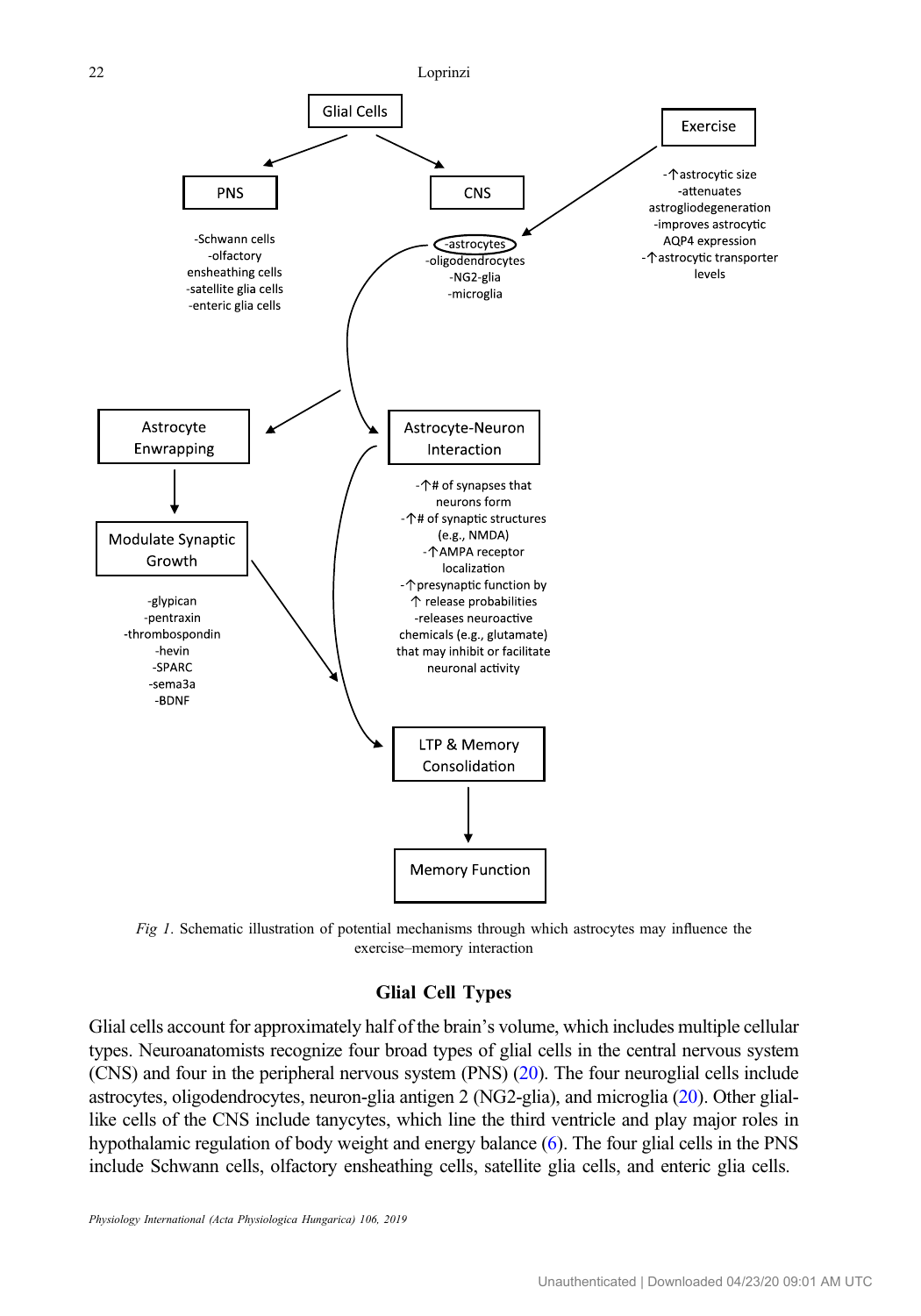<span id="page-1-0"></span>

Fig 1. Schematic illustration of potential mechanisms through which astrocytes may influence the exercise–memory interaction

# Glial Cell Types

Glial cells account for approximately half of the brain's volume, which includes multiple cellular types. Neuroanatomists recognize four broad types of glial cells in the central nervous system (CNS) and four in the peripheral nervous system (PNS) [\(20](#page-6-0)). The four neuroglial cells include astrocytes, oligodendrocytes, neuron-glia antigen 2 (NG2-glia), and microglia ([20\)](#page-6-0). Other gliallike cells of the CNS include tanycytes, which line the third ventricle and play major roles in hypothalamic regulation of body weight and energy balance [\(6\)](#page-5-0). The four glial cells in the PNS include Schwann cells, olfactory ensheathing cells, satellite glia cells, and enteric glia cells.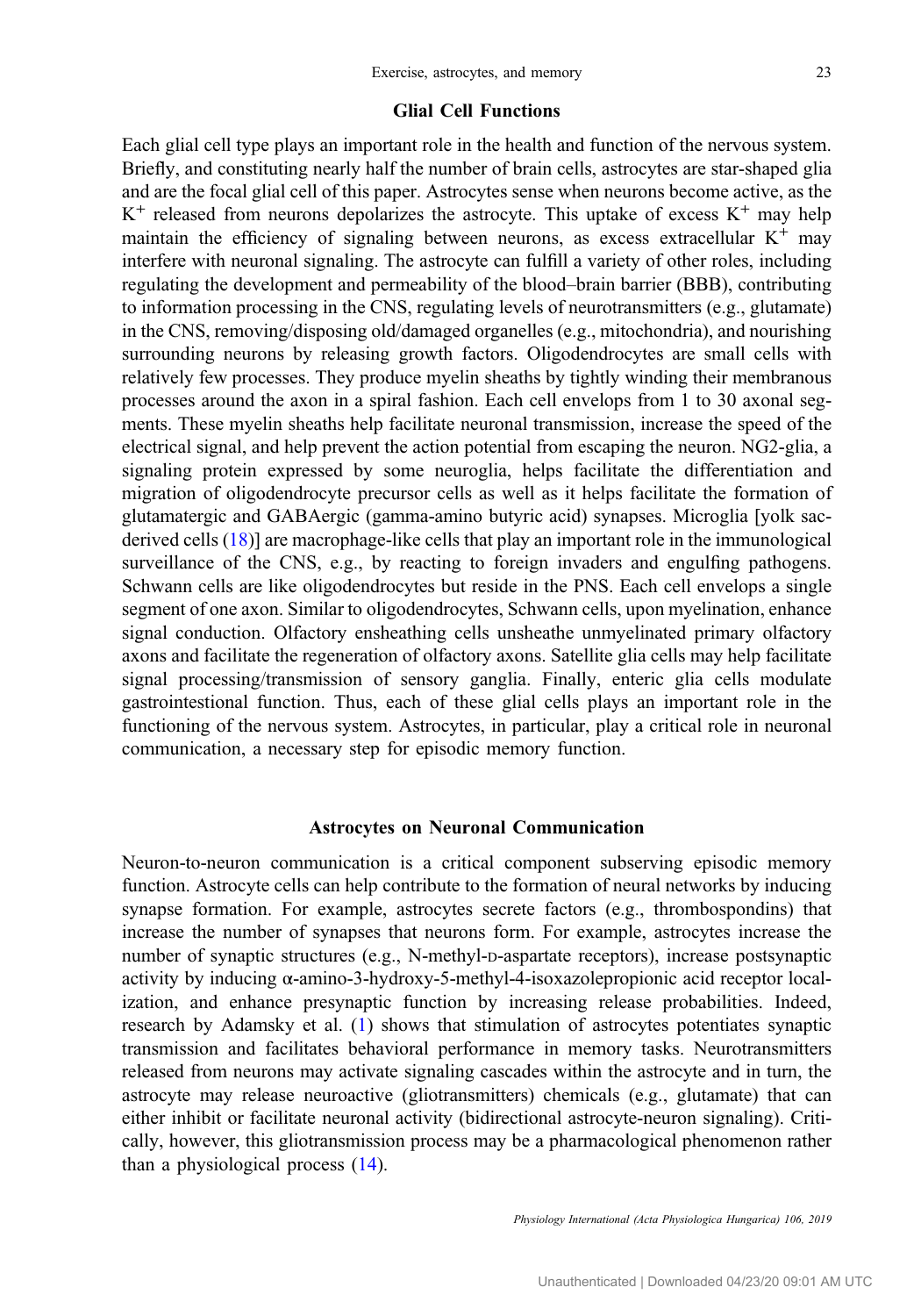# Glial Cell Functions

Each glial cell type plays an important role in the health and function of the nervous system. Briefly, and constituting nearly half the number of brain cells, astrocytes are star-shaped glia and are the focal glial cell of this paper. Astrocytes sense when neurons become active, as the  $K^+$  released from neurons depolarizes the astrocyte. This uptake of excess  $K^+$  may help maintain the efficiency of signaling between neurons, as excess extracellular  $K^+$  may interfere with neuronal signaling. The astrocyte can fulfill a variety of other roles, including regulating the development and permeability of the blood–brain barrier (BBB), contributing to information processing in the CNS, regulating levels of neurotransmitters (e.g., glutamate) in the CNS, removing/disposing old/damaged organelles (e.g., mitochondria), and nourishing surrounding neurons by releasing growth factors. Oligodendrocytes are small cells with relatively few processes. They produce myelin sheaths by tightly winding their membranous processes around the axon in a spiral fashion. Each cell envelops from 1 to 30 axonal segments. These myelin sheaths help facilitate neuronal transmission, increase the speed of the electrical signal, and help prevent the action potential from escaping the neuron. NG2-glia, a signaling protein expressed by some neuroglia, helps facilitate the differentiation and migration of oligodendrocyte precursor cells as well as it helps facilitate the formation of glutamatergic and GABAergic (gamma-amino butyric acid) synapses. Microglia [yolk sacderived cells [\(18](#page-6-0))] are macrophage-like cells that play an important role in the immunological surveillance of the CNS, e.g., by reacting to foreign invaders and engulfing pathogens. Schwann cells are like oligodendrocytes but reside in the PNS. Each cell envelops a single segment of one axon. Similar to oligodendrocytes, Schwann cells, upon myelination, enhance signal conduction. Olfactory ensheathing cells unsheathe unmyelinated primary olfactory axons and facilitate the regeneration of olfactory axons. Satellite glia cells may help facilitate signal processing/transmission of sensory ganglia. Finally, enteric glia cells modulate gastrointestional function. Thus, each of these glial cells plays an important role in the functioning of the nervous system. Astrocytes, in particular, play a critical role in neuronal communication, a necessary step for episodic memory function.

#### Astrocytes on Neuronal Communication

Neuron-to-neuron communication is a critical component subserving episodic memory function. Astrocyte cells can help contribute to the formation of neural networks by inducing synapse formation. For example, astrocytes secrete factors (e.g., thrombospondins) that increase the number of synapses that neurons form. For example, astrocytes increase the number of synaptic structures (e.g., N-methyl-D-aspartate receptors), increase postsynaptic activity by inducing α-amino-3-hydroxy-5-methyl-4-isoxazolepropionic acid receptor localization, and enhance presynaptic function by increasing release probabilities. Indeed, research by Adamsky et al. ([1\)](#page-5-0) shows that stimulation of astrocytes potentiates synaptic transmission and facilitates behavioral performance in memory tasks. Neurotransmitters released from neurons may activate signaling cascades within the astrocyte and in turn, the astrocyte may release neuroactive (gliotransmitters) chemicals (e.g., glutamate) that can either inhibit or facilitate neuronal activity (bidirectional astrocyte-neuron signaling). Critically, however, this gliotransmission process may be a pharmacological phenomenon rather than a physiological process ([14\)](#page-6-0).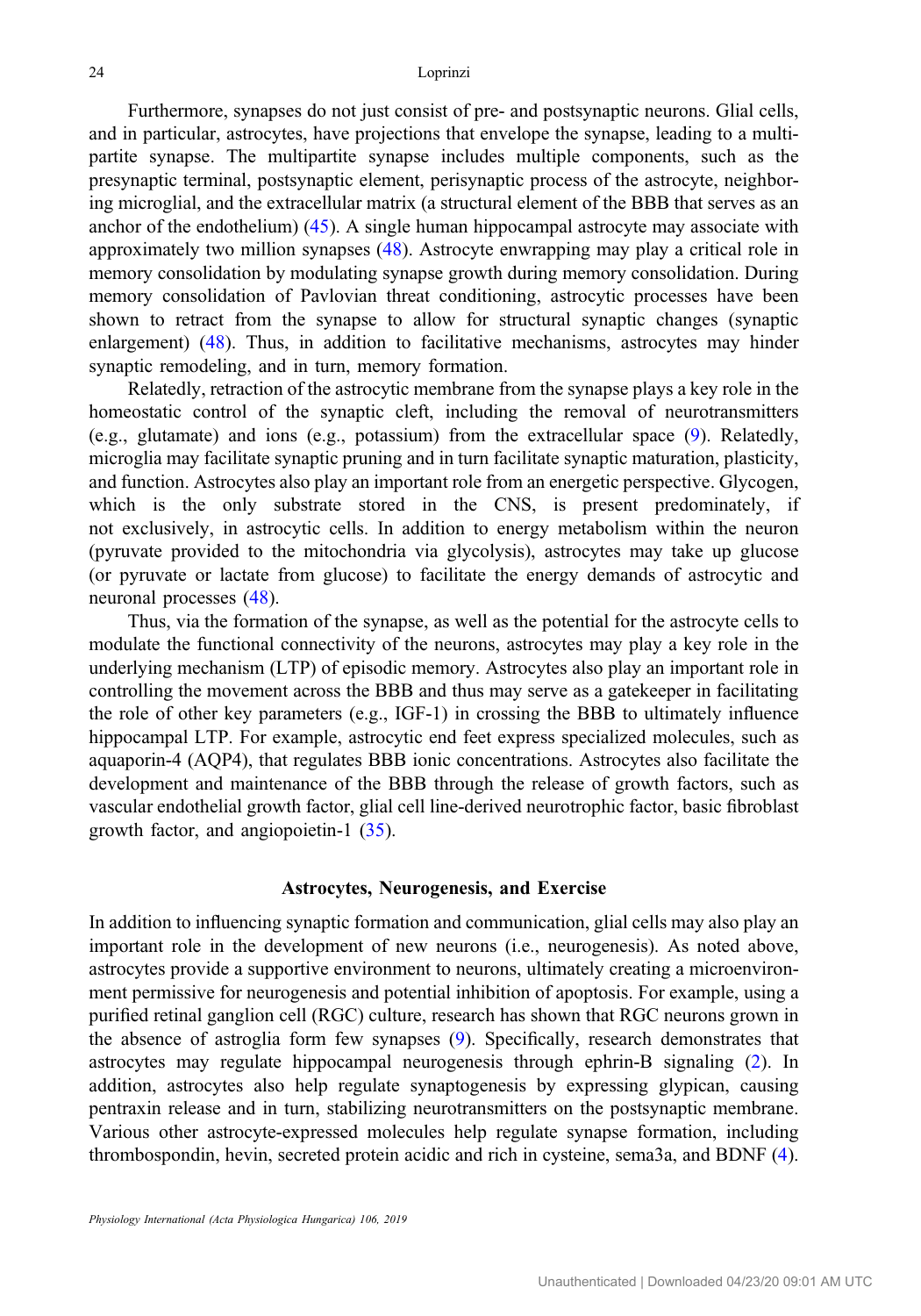Furthermore, synapses do not just consist of pre- and postsynaptic neurons. Glial cells, and in particular, astrocytes, have projections that envelope the synapse, leading to a multipartite synapse. The multipartite synapse includes multiple components, such as the presynaptic terminal, postsynaptic element, perisynaptic process of the astrocyte, neighboring microglial, and the extracellular matrix (a structural element of the BBB that serves as an anchor of the endothelium) [\(45](#page-7-0)). A single human hippocampal astrocyte may associate with approximately two million synapses ([48\)](#page-7-0). Astrocyte enwrapping may play a critical role in memory consolidation by modulating synapse growth during memory consolidation. During memory consolidation of Pavlovian threat conditioning, astrocytic processes have been shown to retract from the synapse to allow for structural synaptic changes (synaptic enlargement) [\(48](#page-7-0)). Thus, in addition to facilitative mechanisms, astrocytes may hinder synaptic remodeling, and in turn, memory formation.

Relatedly, retraction of the astrocytic membrane from the synapse plays a key role in the homeostatic control of the synaptic cleft, including the removal of neurotransmitters (e.g., glutamate) and ions (e.g., potassium) from the extracellular space [\(9\)](#page-5-0). Relatedly, microglia may facilitate synaptic pruning and in turn facilitate synaptic maturation, plasticity, and function. Astrocytes also play an important role from an energetic perspective. Glycogen, which is the only substrate stored in the CNS, is present predominately, if not exclusively, in astrocytic cells. In addition to energy metabolism within the neuron (pyruvate provided to the mitochondria via glycolysis), astrocytes may take up glucose (or pyruvate or lactate from glucose) to facilitate the energy demands of astrocytic and neuronal processes ([48\)](#page-7-0).

Thus, via the formation of the synapse, as well as the potential for the astrocyte cells to modulate the functional connectivity of the neurons, astrocytes may play a key role in the underlying mechanism (LTP) of episodic memory. Astrocytes also play an important role in controlling the movement across the BBB and thus may serve as a gatekeeper in facilitating the role of other key parameters (e.g., IGF-1) in crossing the BBB to ultimately influence hippocampal LTP. For example, astrocytic end feet express specialized molecules, such as aquaporin-4 (AQP4), that regulates BBB ionic concentrations. Astrocytes also facilitate the development and maintenance of the BBB through the release of growth factors, such as vascular endothelial growth factor, glial cell line-derived neurotrophic factor, basic fibroblast growth factor, and angiopoietin-1 [\(35](#page-6-0)).

## Astrocytes, Neurogenesis, and Exercise

In addition to influencing synaptic formation and communication, glial cells may also play an important role in the development of new neurons (i.e., neurogenesis). As noted above, astrocytes provide a supportive environment to neurons, ultimately creating a microenvironment permissive for neurogenesis and potential inhibition of apoptosis. For example, using a purified retinal ganglion cell (RGC) culture, research has shown that RGC neurons grown in the absence of astroglia form few synapses [\(9](#page-5-0)). Specifically, research demonstrates that astrocytes may regulate hippocampal neurogenesis through ephrin-B signaling [\(2](#page-5-0)). In addition, astrocytes also help regulate synaptogenesis by expressing glypican, causing pentraxin release and in turn, stabilizing neurotransmitters on the postsynaptic membrane. Various other astrocyte-expressed molecules help regulate synapse formation, including thrombospondin, hevin, secreted protein acidic and rich in cysteine, sema3a, and BDNF [\(4](#page-5-0)).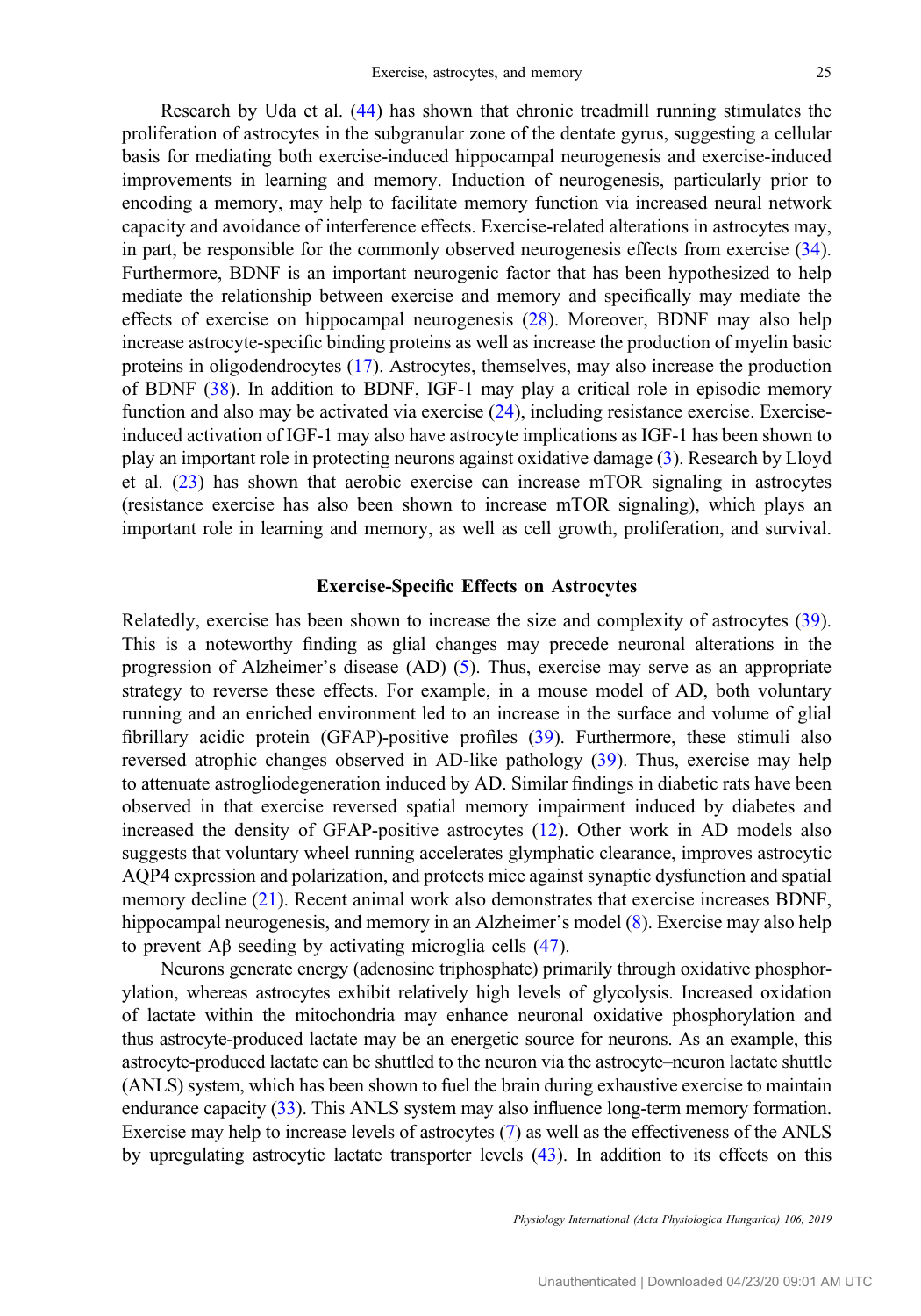Research by Uda et al. [\(44](#page-7-0)) has shown that chronic treadmill running stimulates the proliferation of astrocytes in the subgranular zone of the dentate gyrus, suggesting a cellular basis for mediating both exercise-induced hippocampal neurogenesis and exercise-induced improvements in learning and memory. Induction of neurogenesis, particularly prior to encoding a memory, may help to facilitate memory function via increased neural network capacity and avoidance of interference effects. Exercise-related alterations in astrocytes may, in part, be responsible for the commonly observed neurogenesis effects from exercise [\(34](#page-6-0)). Furthermore, BDNF is an important neurogenic factor that has been hypothesized to help mediate the relationship between exercise and memory and specifically may mediate the effects of exercise on hippocampal neurogenesis [\(28](#page-6-0)). Moreover, BDNF may also help increase astrocyte-specific binding proteins as well as increase the production of myelin basic proteins in oligodendrocytes ([17\)](#page-6-0). Astrocytes, themselves, may also increase the production of BDNF ([38\)](#page-7-0). In addition to BDNF, IGF-1 may play a critical role in episodic memory function and also may be activated via exercise ([24\)](#page-6-0), including resistance exercise. Exerciseinduced activation of IGF-1 may also have astrocyte implications as IGF-1 has been shown to play an important role in protecting neurons against oxidative damage ([3\)](#page-5-0). Research by Lloyd et al. [\(23](#page-6-0)) has shown that aerobic exercise can increase mTOR signaling in astrocytes (resistance exercise has also been shown to increase mTOR signaling), which plays an important role in learning and memory, as well as cell growth, proliferation, and survival.

#### Exercise-Specific Effects on Astrocytes

Relatedly, exercise has been shown to increase the size and complexity of astrocytes [\(39](#page-7-0)). This is a noteworthy finding as glial changes may precede neuronal alterations in the progression of Alzheimer's disease (AD) ([5\)](#page-5-0). Thus, exercise may serve as an appropriate strategy to reverse these effects. For example, in a mouse model of AD, both voluntary running and an enriched environment led to an increase in the surface and volume of glial fibrillary acidic protein (GFAP)-positive profiles [\(39](#page-7-0)). Furthermore, these stimuli also reversed atrophic changes observed in AD-like pathology ([39\)](#page-7-0). Thus, exercise may help to attenuate astrogliodegeneration induced by AD. Similar findings in diabetic rats have been observed in that exercise reversed spatial memory impairment induced by diabetes and increased the density of GFAP-positive astrocytes [\(12](#page-6-0)). Other work in AD models also suggests that voluntary wheel running accelerates glymphatic clearance, improves astrocytic AQP4 expression and polarization, and protects mice against synaptic dysfunction and spatial memory decline [\(21](#page-6-0)). Recent animal work also demonstrates that exercise increases BDNF, hippocampal neurogenesis, and memory in an Alzheimer's model ([8\)](#page-5-0). Exercise may also help to prevent Aβ seeding by activating microglia cells  $(47)$  $(47)$  $(47)$ .

Neurons generate energy (adenosine triphosphate) primarily through oxidative phosphorylation, whereas astrocytes exhibit relatively high levels of glycolysis. Increased oxidation of lactate within the mitochondria may enhance neuronal oxidative phosphorylation and thus astrocyte-produced lactate may be an energetic source for neurons. As an example, this astrocyte-produced lactate can be shuttled to the neuron via the astrocyte–neuron lactate shuttle (ANLS) system, which has been shown to fuel the brain during exhaustive exercise to maintain endurance capacity [\(33](#page-6-0)). This ANLS system may also influence long-term memory formation. Exercise may help to increase levels of astrocytes [\(7](#page-5-0)) as well as the effectiveness of the ANLS by upregulating astrocytic lactate transporter levels [\(43\)](#page-7-0). In addition to its effects on this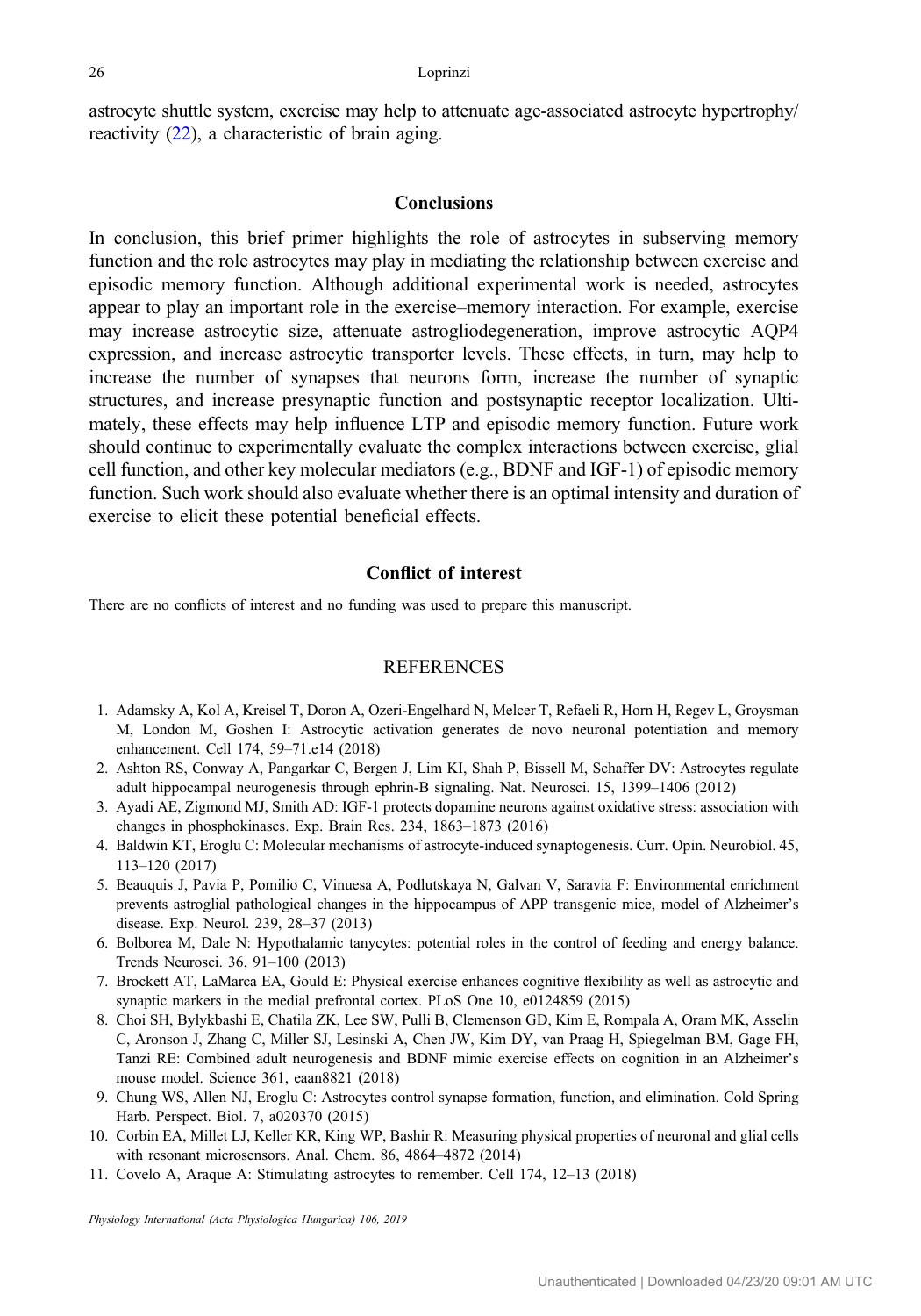<span id="page-5-0"></span>astrocyte shuttle system, exercise may help to attenuate age-associated astrocyte hypertrophy/ reactivity ([22\)](#page-6-0), a characteristic of brain aging.

## Conclusions

In conclusion, this brief primer highlights the role of astrocytes in subserving memory function and the role astrocytes may play in mediating the relationship between exercise and episodic memory function. Although additional experimental work is needed, astrocytes appear to play an important role in the exercise–memory interaction. For example, exercise may increase astrocytic size, attenuate astrogliodegeneration, improve astrocytic AQP4 expression, and increase astrocytic transporter levels. These effects, in turn, may help to increase the number of synapses that neurons form, increase the number of synaptic structures, and increase presynaptic function and postsynaptic receptor localization. Ultimately, these effects may help influence LTP and episodic memory function. Future work should continue to experimentally evaluate the complex interactions between exercise, glial cell function, and other key molecular mediators (e.g., BDNF and IGF-1) of episodic memory function. Such work should also evaluate whether there is an optimal intensity and duration of exercise to elicit these potential beneficial effects.

#### Conflict of interest

There are no conflicts of interest and no funding was used to prepare this manuscript.

# **REFERENCES**

- 1. Adamsky A, Kol A, Kreisel T, Doron A, Ozeri-Engelhard N, Melcer T, Refaeli R, Horn H, Regev L, Groysman M, London M, Goshen I: Astrocytic activation generates de novo neuronal potentiation and memory enhancement. Cell 174, 59–71.e14 (2018)
- 2. Ashton RS, Conway A, Pangarkar C, Bergen J, Lim KI, Shah P, Bissell M, Schaffer DV: Astrocytes regulate adult hippocampal neurogenesis through ephrin-B signaling. Nat. Neurosci. 15, 1399–1406 (2012)
- 3. Ayadi AE, Zigmond MJ, Smith AD: IGF-1 protects dopamine neurons against oxidative stress: association with changes in phosphokinases. Exp. Brain Res. 234, 1863–1873 (2016)
- 4. Baldwin KT, Eroglu C: Molecular mechanisms of astrocyte-induced synaptogenesis. Curr. Opin. Neurobiol. 45, 113–120 (2017)
- 5. Beauquis J, Pavia P, Pomilio C, Vinuesa A, Podlutskaya N, Galvan V, Saravia F: Environmental enrichment prevents astroglial pathological changes in the hippocampus of APP transgenic mice, model of Alzheimer's disease. Exp. Neurol. 239, 28–37 (2013)
- 6. Bolborea M, Dale N: Hypothalamic tanycytes: potential roles in the control of feeding and energy balance. Trends Neurosci. 36, 91–100 (2013)
- 7. Brockett AT, LaMarca EA, Gould E: Physical exercise enhances cognitive flexibility as well as astrocytic and synaptic markers in the medial prefrontal cortex. PLoS One 10, e0124859 (2015)
- 8. Choi SH, Bylykbashi E, Chatila ZK, Lee SW, Pulli B, Clemenson GD, Kim E, Rompala A, Oram MK, Asselin C, Aronson J, Zhang C, Miller SJ, Lesinski A, Chen JW, Kim DY, van Praag H, Spiegelman BM, Gage FH, Tanzi RE: Combined adult neurogenesis and BDNF mimic exercise effects on cognition in an Alzheimer's mouse model. Science 361, eaan8821 (2018)
- 9. Chung WS, Allen NJ, Eroglu C: Astrocytes control synapse formation, function, and elimination. Cold Spring Harb. Perspect. Biol. 7, a020370 (2015)
- 10. Corbin EA, Millet LJ, Keller KR, King WP, Bashir R: Measuring physical properties of neuronal and glial cells with resonant microsensors. Anal. Chem. 86, 4864–4872 (2014)
- 11. Covelo A, Araque A: Stimulating astrocytes to remember. Cell 174, 12–13 (2018)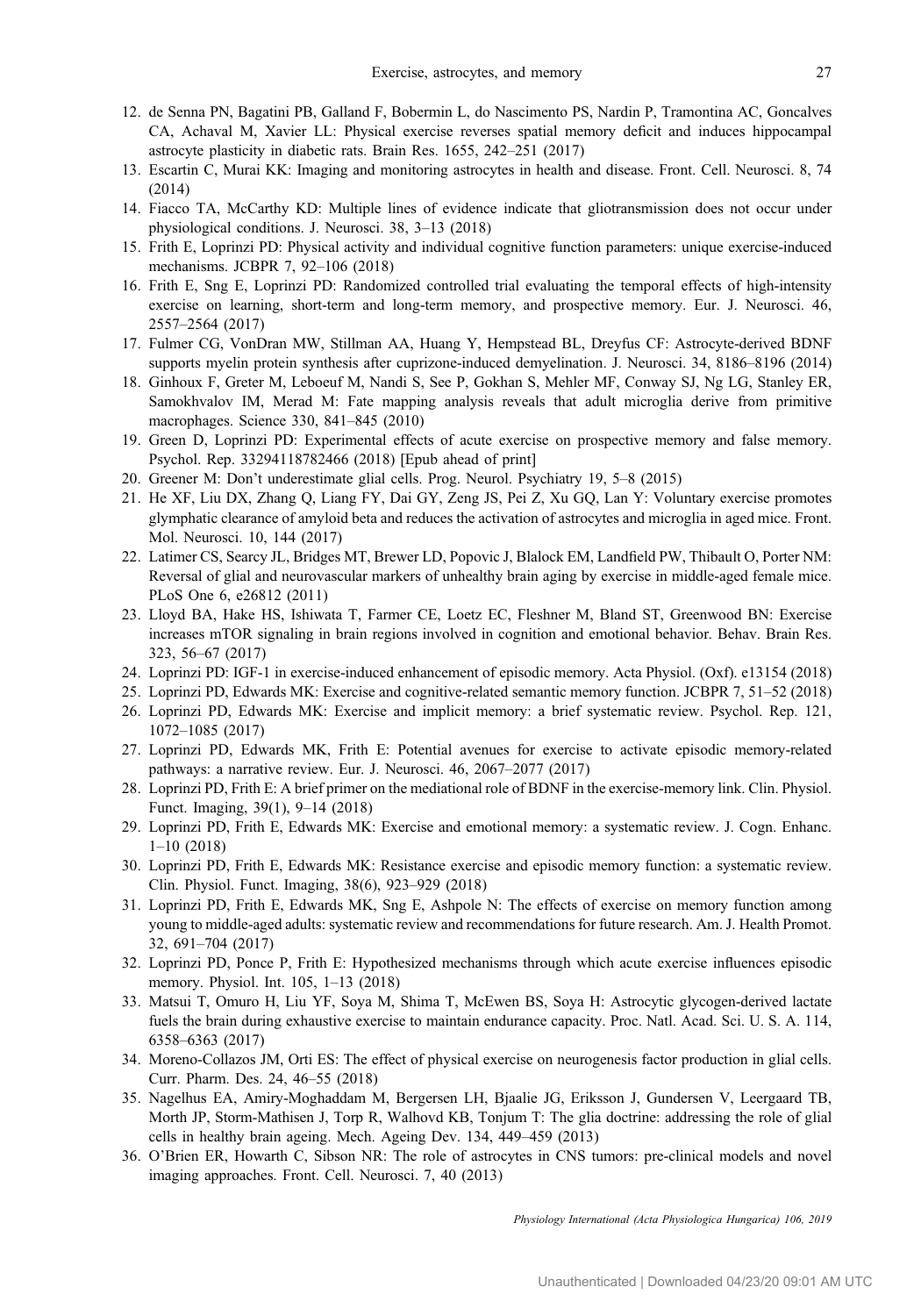- <span id="page-6-0"></span>12. de Senna PN, Bagatini PB, Galland F, Bobermin L, do Nascimento PS, Nardin P, Tramontina AC, Goncalves CA, Achaval M, Xavier LL: Physical exercise reverses spatial memory deficit and induces hippocampal astrocyte plasticity in diabetic rats. Brain Res. 1655, 242–251 (2017)
- 13. Escartin C, Murai KK: Imaging and monitoring astrocytes in health and disease. Front. Cell. Neurosci. 8, 74 (2014)
- 14. Fiacco TA, McCarthy KD: Multiple lines of evidence indicate that gliotransmission does not occur under physiological conditions. J. Neurosci. 38, 3–13 (2018)
- 15. Frith E, Loprinzi PD: Physical activity and individual cognitive function parameters: unique exercise-induced mechanisms. JCBPR 7, 92–106 (2018)
- 16. Frith E, Sng E, Loprinzi PD: Randomized controlled trial evaluating the temporal effects of high-intensity exercise on learning, short-term and long-term memory, and prospective memory. Eur. J. Neurosci. 46, 2557–2564 (2017)
- 17. Fulmer CG, VonDran MW, Stillman AA, Huang Y, Hempstead BL, Dreyfus CF: Astrocyte-derived BDNF supports myelin protein synthesis after cuprizone-induced demyelination. J. Neurosci. 34, 8186–8196 (2014)
- 18. Ginhoux F, Greter M, Leboeuf M, Nandi S, See P, Gokhan S, Mehler MF, Conway SJ, Ng LG, Stanley ER, Samokhvalov IM, Merad M: Fate mapping analysis reveals that adult microglia derive from primitive macrophages. Science 330, 841–845 (2010)
- 19. Green D, Loprinzi PD: Experimental effects of acute exercise on prospective memory and false memory. Psychol. Rep. 33294118782466 (2018) [Epub ahead of print]
- 20. Greener M: Don't underestimate glial cells. Prog. Neurol. Psychiatry 19, 5–8 (2015)
- 21. He XF, Liu DX, Zhang Q, Liang FY, Dai GY, Zeng JS, Pei Z, Xu GQ, Lan Y: Voluntary exercise promotes glymphatic clearance of amyloid beta and reduces the activation of astrocytes and microglia in aged mice. Front. Mol. Neurosci. 10, 144 (2017)
- 22. Latimer CS, Searcy JL, Bridges MT, Brewer LD, Popovic J, Blalock EM, Landfield PW, Thibault O, Porter NM: Reversal of glial and neurovascular markers of unhealthy brain aging by exercise in middle-aged female mice. PLoS One 6, e26812 (2011)
- 23. Lloyd BA, Hake HS, Ishiwata T, Farmer CE, Loetz EC, Fleshner M, Bland ST, Greenwood BN: Exercise increases mTOR signaling in brain regions involved in cognition and emotional behavior. Behav. Brain Res. 323, 56–67 (2017)
- 24. Loprinzi PD: IGF-1 in exercise-induced enhancement of episodic memory. Acta Physiol. (Oxf). e13154 (2018)
- 25. Loprinzi PD, Edwards MK: Exercise and cognitive-related semantic memory function. JCBPR 7, 51–52 (2018)
- 26. Loprinzi PD, Edwards MK: Exercise and implicit memory: a brief systematic review. Psychol. Rep. 121, 1072–1085 (2017)
- 27. Loprinzi PD, Edwards MK, Frith E: Potential avenues for exercise to activate episodic memory-related pathways: a narrative review. Eur. J. Neurosci. 46, 2067–2077 (2017)
- 28. Loprinzi PD, Frith E: A brief primer on the mediational role of BDNF in the exercise-memory link. Clin. Physiol. Funct. Imaging, 39(1), 9–14 (2018)
- 29. Loprinzi PD, Frith E, Edwards MK: Exercise and emotional memory: a systematic review. J. Cogn. Enhanc. 1–10 (2018)
- 30. Loprinzi PD, Frith E, Edwards MK: Resistance exercise and episodic memory function: a systematic review. Clin. Physiol. Funct. Imaging, 38(6), 923–929 (2018)
- 31. Loprinzi PD, Frith E, Edwards MK, Sng E, Ashpole N: The effects of exercise on memory function among young to middle-aged adults: systematic review and recommendations for future research. Am. J. Health Promot. 32, 691–704 (2017)
- 32. Loprinzi PD, Ponce P, Frith E: Hypothesized mechanisms through which acute exercise influences episodic memory. Physiol. Int. 105, 1–13 (2018)
- 33. Matsui T, Omuro H, Liu YF, Soya M, Shima T, McEwen BS, Soya H: Astrocytic glycogen-derived lactate fuels the brain during exhaustive exercise to maintain endurance capacity. Proc. Natl. Acad. Sci. U. S. A. 114, 6358–6363 (2017)
- 34. Moreno-Collazos JM, Orti ES: The effect of physical exercise on neurogenesis factor production in glial cells. Curr. Pharm. Des. 24, 46–55 (2018)
- 35. Nagelhus EA, Amiry-Moghaddam M, Bergersen LH, Bjaalie JG, Eriksson J, Gundersen V, Leergaard TB, Morth JP, Storm-Mathisen J, Torp R, Walhovd KB, Tonjum T: The glia doctrine: addressing the role of glial cells in healthy brain ageing. Mech. Ageing Dev. 134, 449–459 (2013)
- 36. O'Brien ER, Howarth C, Sibson NR: The role of astrocytes in CNS tumors: pre-clinical models and novel imaging approaches. Front. Cell. Neurosci. 7, 40 (2013)

Physiology International (Acta Physiologica Hungarica) 106, 2019